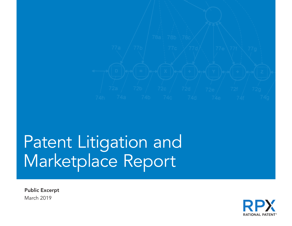

# Patent Litigation and Marketplace Report

Public Excerpt March 2019

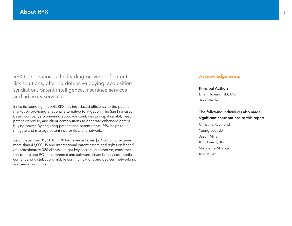RPX Corporation is the leading provider of patent risk solutions, offering defensive buying, acquisition syndiation, patent intelligence, insurance services and advisory services.

Since its founding in 2008, RPX has introduced efficiency to the patent market by providing a rational alternative to litigation. The San Franciscobased company's pioneering approach combines principal capital, deep patent expertise, and client contributions to generate enhanced patent buying power. By acquiring patents and patent rights, RPX helps to mitigate and manage patent risk for its client network.

As of December 31, 2018, RPX had invested over \$2.4 billion to acquire more than 43,000 US and international patent assets and rights on behalf of approximately 320 clients in eight key sectors: automotive, consumer electronics and PCs, e-commerce and software, financial services, media content and distribution, mobile communications and devices, networking, and semiconductors.

#### Acknowledgements

Principal Authors Brian Howard, JD, MA Jake Wexler, JD

The following individuals also made significant contributions to this report: Christina Raymond Young Lee, JD

Jason Miller Kurt Friedli, JD Stephanie Modica Miri Miller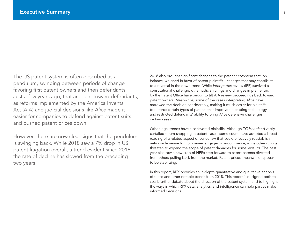The US patent system is often described as a pendulum, swinging between periods of change favoring first patent owners and then defendants. Just a few years ago, that arc bent toward defendants, as reforms implemented by the America Invents Act (AIA) and judicial decisions like *Alice* made it easier for companies to defend against patent suits and pushed patent prices down.

However, there are now clear signs that the pendulum is swinging back. While 2018 saw a 7% drop in US patent litigation overall, a trend evident since 2016, the rate of decline has slowed from the preceding two years.

2018 also brought significant changes to the patent ecosystem that, on balance, weighed in favor of patent plaintiffs—changes that may contribute to a reversal in the down-trend. While *inter partes* review (IPR) survived a constitutional challenge, other judicial rulings and changes implemented by the Patent Office have begun to tilt AIA review proceedings back toward patent owners. Meanwhile, some of the cases interpreting *Alice* have narrowed the decision considerably, making it much easier for plaintiffs to enforce certain types of patents that improve on existing technology, and restricted defendants' ability to bring *Alice* defensive challenges in certain cases.

Other legal trends have also favored plaintiffs. Although *TC Heartland* vastly curtailed forum-shopping in patent cases, some courts have adopted a broad reading of a related aspect of venue law that could effectively reestablish nationwide venue for companies engaged in e-commerce, while other rulings threaten to expand the scope of patent damages for some lawsuits. The past year also saw a new crop of NPEs step forward to assert patents divested from others pulling back from the market. Patent prices, meanwhile, appear to be stabilizing.

In this report, RPX provides an in-depth quantitative and qualitative analysis of these and other notable trends from 2018. This report is designed both to spark further debate about the direction of the patent system and to highlight the ways in which RPX data, analytics, and intelligence can help parties make informed decisions.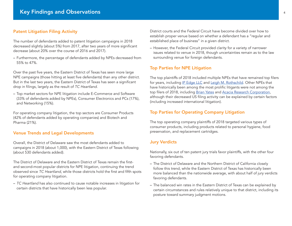# Patent Litigation Filing Activity

The number of defendants added to patent litigation campaigns in 2018 decreased slightly (about 5%) from 2017, after two years of more significant decrease (about 20% over the course of 2016 and 2017).

– Furthermore, the percentage of defendants added by NPEs decreased from 55% to 47%.

Over the past five years, the Eastern District of Texas has seen more large NPE campaigns (those hitting at least five defendants) than any other district. But in the last two years, the Eastern District of Texas has seen a significant drop in filings, largely as the result of *TC Heartland*.

– Top market sectors for NPE litigation include E-Commerce and Software (33% of defendants added by NPEs), Consumer Electronics and PCs (17%), and Networking (15%).

For operating company litigation, the top sectors are Consumer Products (42% of defendants added by operating companies) and Biotech and Pharma (21%).

# Venue Trends and Legal Developments

Overall, the District of Delaware saw the most defendants added to campaigns in 2018 (about 1,000), with the Eastern District of Texas following (about 530 defendants added).

The District of Delaware and the Eastern District of Texas remain the firstand second-most popular districts for NPE litigation, continuing the trend observed since *TC Heartland*, while those districts hold the first and fifth spots for operating company litigation.

– *TC Heartland* has also continued to cause notable increases in litigation for certain districts that have historically been less popular.

District courts and the Federal Circuit have become divided over how to establish proper venue based on whether a defendant has a "regular and established place of business" in a given district.

– However, the Federal Circuit provided clarity for a variety of narrower issues related to venue in 2018, though uncertainties remain as to the law surrounding venue for foreign defendants.

#### Top Parties for NPE Litigation

The top plaintiffs of 2018 included multiple NPEs that have remained top filers for years, including [IP Edge LLC](https://insight.rpxcorp.com/ent/1034412-ip-edge-llc) and [Leigh M. Rothschild](https://insight.rpxcorp.com/ent/352299-leigh-m-rothschild). Other NPEs that have historically been among the most prolific litigants were not among the top filers of 2018, including [Brian Yates](https://insight.rpxcorp.com/ent/942411-brian-yates) and [Acacia Research Corporation,](https://insight.rpxcorp.com/ent/75584-acacia-research-corporation) although their decreased US filing activity can be explained by certain factors (including increased international litigation).

#### Top Parties for Operating Company Litigation

The top operating company plaintiffs of 2018 targeted various types of consumer products, including products related to personal hygiene, food preservation, and replacement cartridges.

#### Jury Verdicts

Nationally, six out of ten patent jury trials favor plaintiffs, with the other four favoring defendants.

- The District of Delaware and the Northern District of California closely follow this trend, while the Eastern District of Texas has historically been more balanced than the nationwide average, with about half of jury verdicts favoring defendants.
- The balanced win rates in the Eastern District of Texas can be explained by certain circumstances and rules relatively unique to that district, including its posture toward summary judgment motions.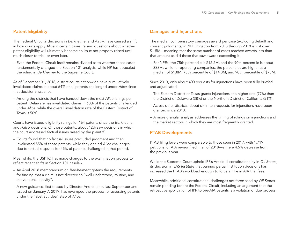# Patent Eligibility

The Federal Circuit's decisions in *Berkheimer* and *Aatrix* have caused a shift in how courts apply *Alice* in certain cases, raising questions about whether patent eligibility will ultimately become an issue not properly raised until much closer to trial, or even later.

– Even the Federal Circuit itself remains divided as to whether those cases fundamentally changed the Section 101 analysis, while HP has appealed the ruling in *Berkheimer* to the Supreme Court.

As of December 31, 2018, district courts nationwide have cumulatively invalidated claims in about 64% of all patents challenged under *Alice* since that decision's issuance.

– Among the districts that have handed down the most *Alice* rulings per patent, Delaware has invalidated claims in 60% of the patents challenged under *Alice*, while the overall invalidation rate of the Eastern District of Texas is 50%.

Courts have issued eligibility rulings for 164 patents since the *Berkheimer* and *Aatrix* decisions. Of those patents, about 42% saw decisions in which the court addressed factual issues raised by the plaintiff.

– Courts found that no factual issues precluded judgment and then invalidated 55% of those patents, while they denied *Alice* challenges due to factual disputes for 45% of patents challenged in that period.

Meanwhile, the USPTO has made changes to the examination process to reflect recent shifts in Section 101 caselaw.

- An April 2018 memorandum on *Berkheimer* tightens the requirements for finding that a claim is not directed to "well-understood, routine, and conventional activity".
- A new guidance, first teased by Director Andrei Iancu last September and issued on January 7, 2019, has revamped the process for assessing patents under the "abstract idea" step of *Alice*.

# Damages and Injunctions

The median compensatory damages award per case (excluding default and consent judgments) in NPE litigation from 2013 through 2018 is just over \$1.5M—meaning that the same number of cases reached awards less than that amount as did those that saw awards exceeding it.

– For NPEs, the 75th percentile is \$12.2M, and the 90th percentile is about \$33M; while for operating companies, the percentiles are higher at a median of \$1.8M, 75th percentile of \$14.8M, and 90th percentile of \$73M.

Since 2013, only about 400 requests for injunctions have been fully briefed and adjudicated.

- The Eastern District of Texas grants injunctions at a higher rate (77%) than the District of Delaware (38%) or the Northern District of California (51%).
- Across other districts, about six in ten requests for injunctions have been granted since 2013.
- A more granular analysis addresses the timing of rulings on injunctions and the market sectors in which they are most frequently granted.

# PTAB Developments

PTAB filing levels were comparable to those seen in 2017, with 1,719 petitions for AIA review filed in all of 2018—a mere 4.5% decrease from the previous year.

While the Supreme Court upheld IPR's Article III constitutionality in *Oil States*, its decision in *SAS Institute* that banned partial institution decisions has increased the PTAB's workload enough to force a hike in AIA trial fees.

Meanwhile, additional constitutional challenges not foreclosed by *Oil States* remain pending before the Federal Circuit, including an argument that the retroactive application of IPR to pre-AIA patents is a violation of due process.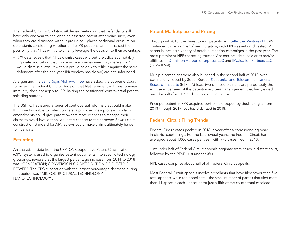The Federal Circuit's *Click-to-Call* decision—finding that defendants still have only one year to challenge an asserted patent after being sued, even when they are dismissed without prejudice—places additional pressure on defendants considering whether to file IPR petitions, and has raised the possibility that NPEs will try to unfairly leverage the decision to their advantage.

– RPX data reveals that NPEs dismiss cases without prejudice at a notably high rate, indicating that concerns over gamesmanship (where an NPE would dismiss a lawsuit without prejudice only to refile it against the same defendant after the one-year IPR window has closed) are not unfounded.

Allergan and the [Saint Regis Mohawk Tribe](https://insight.rpxcorp.com/ent/1273040-saint-regis-mohawk-tribe) have asked the Supreme Court to review the Federal Circuit's decision that Native American tribes' sovereign immunity does not apply to IPR, halting the petitioners' controversial patentshielding strategy.

The USPTO has issued a series of controversial reforms that could make IPR more favorable to patent owners: a proposed new process for claim amendments could give patent owners more chances to reshape their claims to avoid invalidation, while the change to the narrower *Philips* claim construction standard for AIA reviews could make claims ultimately harder to invalidate.

# Patenting

An analysis of data from the USPTO's Cooperative Patent Classification (CPC) system, used to organize patent documents into specific technology groupings, reveals that the largest percentage increase from 2014 to 2018 was "GENERATION; CONVERSION OR DISTRIBUTION OF ELECTRIC POWER". The CPC subsection with the largest percentage decrease during that period was "MICROSTRUCTURAL TECHNOLOGY; NANOTECHNOLOGY".

# Patent Marketplace and Pricing

Throughout 2018, the divestiture of patents by [Intellectual Ventures LLC](https://insight.rpxcorp.com/ent/89413-intellectual-ventures-llc) (IV) continued to be a driver of new litigation, with NPEs asserting divested IV assets launching a variety of notable litigation campaigns in the past year. The most prominent NPEs asserting former IV assets include subsidiaries and/or affiliates of [Dominion Harbor Enterprises LLC](https://insight.rpxcorp.com/ent/1211552-dominion-harbor-enterprises-llc) and [IPValuation Partners LLC](https://insight.rpxcorp.com/ent/950263-ipvaluation-partners-llc) (d/b/a IPVal).

Multiple campaigns were also launched in the second half of 2018 over patents developed by South Korea's [Electronics and Telecommunications](https://insight.rpxcorp.com/ent/89088-electronics-and-telecommunications-research-institute)  [Research Institute](https://insight.rpxcorp.com/ent/89088-electronics-and-telecommunications-research-institute) (ETRI). At least two of those plaintiffs are purportedly the exclusive licensees of the patents-in-suit—an arrangement that has yielded mixed results for ETRI and its licensees in the past.

Price per patent in RPX-acquired portfolios dropped by double digits from 2013 through 2017, but has stabilized in 2018.

# Federal Circuit Filing Trends

Federal Circuit cases peaked in 2016, a year after a corresponding peak in district court filings. For the last several years, the Federal Circuit has averaged about 1,000 cases per year, with 975 cases filed in 2018.

Just under half of Federal Circuit appeals originate from cases in district court, followed by the PTAB (just under 40%).

NPE cases comprise about half of all Federal Circuit appeals.

Most Federal Circuit appeals involve appellants that have filed fewer than five total appeals, while top appellants—the small number of parties that filed more than 11 appeals each—account for just a fifth of the court's total caseload.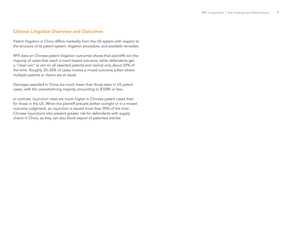# Chinese Litigation Overview and Outcomes

Patent litigation in China differs markedly from the US system with respect to the structure of its patent system, litigation procedure, and available remedies.

RPX data on Chinese patent litigation outcomes shows that plaintiffs win the majority of cases that reach a merit-based outcome, while defendants get a "clean win" (a win on all asserted patents and claims) only about 20% of the time. Roughly 20–30% of cases involve a mixed outcome (often where multiple patents or claims are at issue).

Damages awarded in China are much lower than those seen in US patent cases, with the overwhelming majority amounting to \$100K or less.

In contrast, injunction rates are much higher in Chinese patent cases than for those in the US. When the plaintiff prevails (either outright or in a mixedoutcome judgment), an injunction is issued more than 90% of the time. Chinese injunctions also present greater risk for defendants with supply chains in China, as they can also block export of patented articles.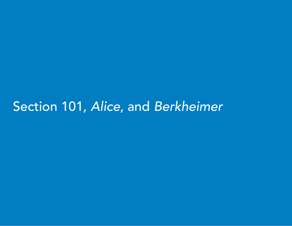# Section 101, *Alice*, and *Berkheimer*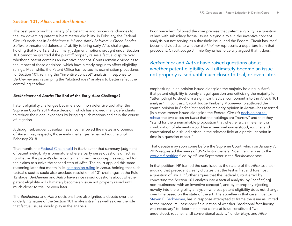# Section 101, *Alice*, and *Berkheimer*

The past year brought a variety of substantive and procedural changes to the law governing patent subject matter eligibility. In February, the Federal Circuit's decisions in *Berkheimer v. HP* and *Aatrix Software v. Green Shades Software* threatened defendants' ability to bring early *Alice* challenges, holding that Rule 12 and summary judgment motions brought under Section 101 cannot be granted if the plaintiff properly raises a factual dispute over whether a patent contains an inventive concept. Courts remain divided as to the impact of those decisions, which have already begun to affect eligibility rulings. Meanwhile, the Patent Office has revised its examination procedures for Section 101, refining the "inventive concept" analysis in response to *Berkheimer* and revamping the "abstract idea" analysis to better reflect the controlling caselaw.

#### *Berkheimer* and *Aatrix*: The End of the Early *Alice* Challenge?

Patent eligibility challenges became a common defensive tool after the Supreme Court's 2014 *Alice* decision, which has allowed many defendants to reduce their legal expenses by bringing such motions earlier in the course of litigation.

Although subsequent caselaw has since narrowed the metes and bounds of *Alice* in key respects, those early challenges remained routine until February 2018.

That month, the [Federal Circuit held](https://insight.rpxcorp.com/news/8408) in *Berkheimer* that summary judgment of patent ineligibility is premature where a party raises questions of fact as to whether the patent's claims contain an inventive concept, as required for the claims to survive the second step of *Alice*. The court applied this same reasoning later that month in its [companion ruling](https://insight.rpxcorp.com/news/8418) in *Aatrix*, holding that such factual disputes could also preclude resolution of 101 challenges at the Rule 12 stage. *Berkheimer* and *Aatrix* have since raised questions about whether patent eligibility will ultimately become an issue not properly raised until much closer to trial, or even later.

The *Berkheimer* and *Aatrix* decisions have also ignited a debate over the underlying nature of the Section 101 analysis itself, as well as over the role that factual issues should play in the analysis.

Prior precedent followed the core premise that patent eligibility is a question of law, with subsidiary factual issues playing a role in the inventive concept analysis but not serving as a threshold issue, and the Federal Circuit has itself become divided as to whether *Berkheimer* represents a departure from that precedent. Circuit Judge Jimmie Reyna has forcefully argued that it does,

*Berkheimer* and *Aatrix* have raised questions about whether patent eligibility will ultimately become an issue not properly raised until much closer to trial, or even later.

emphasizing in an opinion issued alongside the majority holding in *Aatrix* that patent eligibility is purely a legal question and criticizing the majority for "attempt[ing] to shoehorn a significant factual component into the *Alice* § 101 analysis". In contrast, Circuit Judge Kimberly Moore—who authored the court's opinion in *Berkheimer* and the majority opinion in *Aatrix*—has asserted (in a concurrence issued alongside the Federal Circuit's [decision not to](https://insight.rpxcorp.com/news/8559)  [rehear](https://insight.rpxcorp.com/news/8559) the two cases *en banc*) that the holdings are "narrow" and that they "stand for the unremarkable proposition that whether a claim element or combination of elements would have been well-understood, routine, and conventional to a skilled artisan in the relevant field at a particular point in time is a question of fact."

That debate may soon come before the Supreme Court, which on January 7, 2019 requested the views of US Solicitor General Noel Francisco as to the *[certiorari](https://www.supremecourt.gov/DocketPDF/18/18-415/65216/20180928162630738_36823 pdf Hong I br.pdf)* petition filed by HP last September in the *Berkheimer* case.

In that petition, HP framed the core issue as the nature of the *Alice* test itself, arguing that precedent clearly dictates that the test is first and foremost a question of law. HP further argues that the Federal Circuit erred by converting the Section 101 analysis into a factual analysis, by "conflat[ing] non-routineness with an inventive concept", and by improperly injecting novelty into the eligibility analysis—whereas patent eligibility does not change over time based on the state of the art. The appellee in that case, inventor [Steven E. Berkheimer](https://insight.rpxcorp.com/ent/420955-steven-e-berkheimer), has in response attempted to frame the issue as limited to the procedural, case-specific question of whether "additional fact-finding was necessary" to determine if the claims at issue constituted "wellunderstood, routine, [and] conventional activity" under *Mayo* and *Alice*.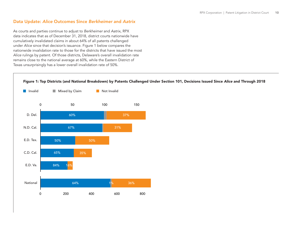# Data Update: *Alice* Outcomes Since *Berkheimer* and *Aatrix*

As courts and parties continue to adjust to *Berkheimer* and *Aatrix*, RPX data indicates that as of December 31, 2018, district courts nationwide have cumulatively invalidated claims in about 64% of all patents challenged under *Alice* since that decision's issuance. Figure 1 below compares the nationwide invalidation rate to those for the districts that have issued the most *Alice* rulings by patent. Of those districts, Delaware's overall invalidation rate remains close to the national average at 60%, while the Eastern District of Texas unsurprisingly has a lower overall invalidation rate of 50%.

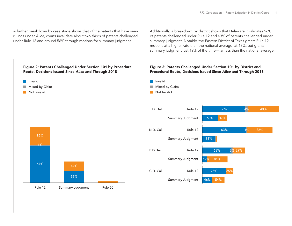A further breakdown by case stage shows that of the patents that have seen rulings under *Alice,* courts invalidate about two thirds of patents challenged under Rule 12 and around 56% through motions for summary judgment.

Additionally, a breakdown by district shows that Delaware invalidates 56% of patents challenged under Rule 12 and 63% of patents challenged under summary judgment. Notably, the Eastern District of Texas grants Rule 12 motions at a higher rate than the national average, at 68%, but grants summary judgment just 19% of the time—far less than the national average.

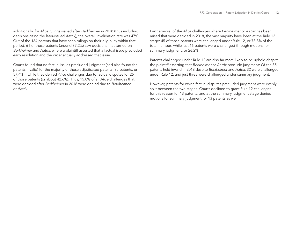<span id="page-11-0"></span>Additionally, for *Alice* rulings issued after *Berkheimer* in 2018 (thus including decisions citing the later-issued *Aatrix*), the overall invalidation rate was 47%. Out of the 164 patents that have seen rulings on their eligibility within that period, 61 of those patents (around 37.2%) saw decisions that turned on *Berkheimer* and *Aatrix*, where a plaintiff asserted that a factual issue precluded early resolution and the order actually addressed that issue.

Courts found that no factual issues precluded judgment (and also found the patents invalid) for the majority of those adjudicated patents (35 patents, or 57.4%),<sup>1</sup> while they denied Alice challenges due to factual disputes for 26 of those patents (or about 42.6%). Thus, 15.8% of all *Alice* challenges that were decided after *Berkheimer* in 2018 were denied due to *Berkheimer* or *Aatrix*.

Furthermore, of the *Alice* challenges where *Berkheimer* or *Aatrix* has been raised that were decided in 2018, the vast majority have been at the Rule 12 stage: 45 of those patents were challenged under Rule 12, or 73.8% of the total number; while just 16 patents were challenged through motions for summary judgment, or 26.2%.

Patents challenged under Rule 12 are also far more likely to be upheld despite the plaintiff asserting that *Berkheimer* or *Aatrix* preclude judgment: Of the 35 patents held invalid in 2018 despite *Berkheimer* and *Aatrix*, 32 were challenged under Rule 12, and just three were challenged under summary judgment.

However, patents for which factual disputes precluded judgment were evenly split between the two stages. Courts declined to grant Rule 12 challenges for this reason for 13 patents, and at the summary judgment stage denied motions for summary judgment for 13 patents as well.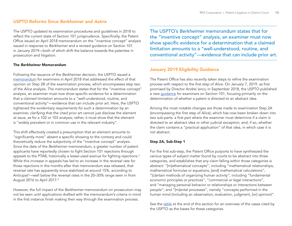# <span id="page-12-0"></span>USPTO Reforms Since *Berkheimer* and *Aatrix*

The USPTO updated its examination procedures and guidelines in 2018 to reflect the current state of Section 101 jurisprudence. Specifically, the Patent Office issued an April 2018 memorandum on the "inventive concept" analysis issued in response to *Berkheimer* and a revised guidance on Section 101 in January 2019—both of which shift the balance towards the patentee in prosecution and litigation.

#### The *Berkheimer* Memorandum

Following the issuance of the *Berkheimer* decision, the USPTO issued a [memorandum](https://www.uspto.gov/sites/default/files/documents/memo-berkheimer-20180419.PDF) for examiners in April 2018 that addressed the effect of that opinion on Step 2B of the examination process, which encompasses step two of the *Alice* analysis. The memorandum states that for the "inventive concept" analysis, an examiner must now show specific evidence for a determination that a claimed limitation amounts to a "well-understood, routine, and conventional activity"—evidence that can include prior art. Here, the USPTO tightened the evidentiary requirements for such a determination by an examiner, clarifying that the cited prior art cannot just disclose the element at issue, as for a 102 or 103 analysis; rather, it must show that the element is "widely prevalent or in common use in the relevant industry".

This shift effectively created a presumption that an element amounts to "significantly more" absent a specific showing to the contrary and could theoretically reduce the subjectivity of the "inventive concept" analysis. Since the date of the *Berkheimer* memorandum, a greater number of patent applicants have reportedly chosen to fight Section 101 rejections through appeals to the PTAB, historically a lesser-used avenue for fighting rejections.<sup>2</sup> While this increase in appeals has led to an increase in the reversal rate for those rejections in the months after that memorandum was released, that reversal rate has apparently since stabilized at around 15%, according to Anticipat<sup>[3](#page-14-0)</sup>—well below the reversal rates in the 20–30% range seen in from August 2016 to April 2017[.4](#page-14-0)

However, the full impact of the *Berkheimer* memorandum on prosecution may not be seen until applications drafted with the memorandum's criteria in mind in the first instance finish making their way through the examination process.

The USPTO's *Berkheimer* memorandum states that for the "inventive concept" analysis, an examiner must now show specific evidence for a determination that a claimed limitation amounts to a "well-understood, routine, and conventional activity"—evidence that can include prior art.

# January 2019 Eligibility Guidance

The Patent Office has also recently taken steps to refine the examination process with respect to the first step of *Alice*. On January 7, 2019, as first promised by Director Andrei Iancu in September 2018, the USPTO published a new [guidance](https://www.govinfo.gov/content/pkg/FR-2019-01-07/pdf/2018-28282.pdf) for examiners on Section 101, focusing primarily on the determination of whether a patent is directed to an abstract idea.

Among the most notable changes are those made to examination Step 2A (encompassing the first step of *Alice*), which has now been broken down into two sub-parts: a first part where the examiner must determine if a claim is directed to an abstract idea or other judicial exception; and, if so, whether the claim contains a "practical application" of that idea, in which case it is not abstract.

#### Step 2A, Sub-Step 1

For the first sub-step, the Patent Office purports to have synthesized the various types of subject matter found by courts to be abstract into three categories, and establishes that any claim falling within those categories is abstract: "[m]athematical concepts", including "mathematical relationships, mathematical formulas or equations, [and] mathematical calculations"; "[c]ertain methods of organizing human activity", including "fundamental economic principles or practices", "commercial or legal interactions", and "managing personal behavior or relationships or interactions between people"; and "[m]ental processes", namely "concepts performed in the human mind (including an observation, evaluation, judgment, [or] opinion)".

See the [table](#page-15-0) at the end of this section for an overview of the cases cited by the USPTO as the bases for these categories.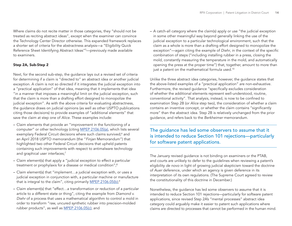<span id="page-13-0"></span>Where claims do not recite matter in those categories, they "should not be treated as reciting abstract ideas", except when the examiner can convince the Technology Center Director otherwise. This expanded framework replaces a shorter set of criteria for the abstractness analysis—a "Eligibility Quick Reference Sheet Identifying Abstract Ideas"[5](#page-14-0) —previously made available to examiners.

#### Step 2A, Sub-Step 2

Next, for the second sub-step, the guidance lays out a revised set of criteria for determining if a claim is "directed to" an abstract idea or another judicial exception. A claim is not so directed if it integrates the judicial exception into a "practical application" of that idea, meaning that it implements that idea "in a manner that imposes a meaningful limit on the judicial exception, such that the claim is more than a drafting effort designed to monopolize the judicial exception". As with the above criteria for evaluating abstractness, the guidance draws on judicial opinions (as well as other USPTO publications citing those decisions) to provide examples of "additional elements" that save the claim at step one of *Alice*. These examples include:

- Claim elements that provide an "improvement in the functioning of a computer" or other technology (citing [MPEP 2106.05\(a\)](https://www.uspto.gov/web/offices/pac/mpep/s2106.html#ch2100_d29a1b_13c69_10), which lists several exemplary Federal Circuit decisions where such claims survived;<sup>[6](#page-14-0)</sup> and an April 2018 USPTO memorandum (the "*Finjan* Memorandum") that highlighted two other Federal Circuit decisions that upheld patents containing such improvements with respect to antimalware technology and graphical user interfaces;<sup>[7](#page-14-0)</sup>
- Claim element(s) that apply a "judicial exception to effect a particular treatment or prophylaxis for a disease or medical condition";<sup>[8](#page-14-0)</sup>
- Claim element(s) that "implement…a judicial exception with, or uses a judicial exception in conjunction with, a particular machine or manufacture that is integral to the claim", citing primarily <u>MPEP 2106.05(b)</u>;<sup>[9](#page-14-0)</sup>
- Claim element(s) that "effect…a transformation or reduction of a particular article to a different state or thing", citing the example from *Diamond v. Diehr* of a process that uses a mathematical algorithm to control a mold in order to transform "raw, uncured synthetic rubber into precision-molded rubber products", as well as [MPEP 2106.05\(c\);](https://www.uspto.gov/web/offices/pac/mpep/s2106.html#ch2100_d29a1b_13cfb_2e) and

– A catch-all category where the claim(s) apply or use "the judicial exception in some other meaningful way beyond generally linking the use of the judicial exception to a particular technological environment, such that the claim as a whole is more than a drafting effort designed to monopolize the exception"—again citing the example of *Diehr*, in the context of the specific combination of steps ("including installing rubber in a press, closing the mold, constantly measuring the temperature in the mold, and automatically opening the press at the proper time") that, together, amount to more than just a patent on the mathematical formula used.<sup>10</sup>

Unlike the three abstract idea categories, however, the guidance states that the above-listed examples of a "practical application" are non-exhaustive. Furthermore, the revised guidance "specifically excludes consideration of whether the additional elements represent well-understood, routine, conventional activity". That analysis, instead, is now to be confined to examination Step 2B (or *Alice* step two), the consideration of whether a claim contains an inventive concept, or whether the claim contains "significantly more" than the abstract idea. Step 2B is relatively unchanged from the prior guidance, and refers back to the *Berkheimer* memorandum.

The guidance has led some observers to assume that it is intended to reduce Section 101 rejections—particularly for software patent applications.

The January revised guidance is not binding on examiners or the PTAB, and courts are unlikely to defer to the guidelines when reviewing a patent's eligibility *de novo* in light of growing judicial skepticism toward the doctrine of *Auer* deference, under which an agency is given deference in its interpretation of its own regulations. (The Supreme Court agreed to review the constitutionality of this doctrine in December.)

Nonetheless, the guidance has led some observers to assume that it is intended to reduce Section 101 rejections—particularly for software patent applications, since revised Step 2A's "mental processes" abstract idea category could arguably make it easier to patent such applications where claims are directed to processes that cannot be performed in the human mind.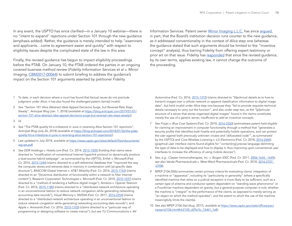<span id="page-14-0"></span>In any event, the USPTO has since clarified—in a January 10 webinar—there is no "intent to expand" rejections under Section 101 through the new guidance (emphasis added). Rather, the guidance is merely intended to help "examiners and applicants…come to agreement easier and quickly" with respect to eligibility issues despite the complicated state of the law in this area.

Finally, the revised guidance has begun to impact eligibility proceedings before the PTAB. On January 10, the PTAB ordered the parties in an ongoing covered business method review (*Fidelity Information Services et al v. Mirror Imaging*, [CBM2017-00064\)](https://insight.rpxcorp.com/ptabs/7720) to submit briefing to address the guidance's impact on the Section 101 arguments asserted by petitioner Fidelity

Information Services. Patent owner [Mirror Imaging L.L.C.](https://insight.rpxcorp.com/ent/63220-mirror-imaging-l-l-c) has since arqued, in part, that the Board's institution decision runs counter to the new guidance, as it addressed conventionality in the context of *Alice* step one (whereas the guidance stated that such arguments should be limited to the "inventive concept" analysis), thus barring Fidelity from offering expert testimony or prior art on that issue. Fidelity has [responded](https://insight.rpxcorp.com/ptabs/696612/rpx-ptab/CBM2017-00064/2019_01_14_Petitioner_s_Brief_Regarding_2019_Eligibility_Guidance__CBM2017_00064__aaae48a5049665bef8884c730b2b314a.pdf) that since the revised guidance, by its own terms, applies existing law, it cannot change the outcome of the proceeding.

- [1](#page-11-0) To date, in each decision where a court has found that factual issues do not preclude judgment under *Alice*, it has also found the challenged patent claim(s) invalid.
- [2](#page-12-0) *See* "Section 101 *Alice* (Abstract Idea) Appeal Decisions Surge, but Reversal Rate Stays Steady", *Anticipat Blog* (Jan. 1, 2018) (*available at* [https://blog.anticipat.com/2019/01/01/](https://blog.anticipat.com/2019/01/01/section-101-alice-abstract-idea-appeal-decisions-surge-but-reversal-rate-stays-steady/) [section-101-alice-abstract-idea-appeal-decisions-surge-but-reversal-rate-stays-steady/\)](https://blog.anticipat.com/2019/01/01/section-101-alice-abstract-idea-appeal-decisions-surge-but-reversal-rate-stays-steady/).
- [3](#page-12-0) *Id.*
- [4](#page-12-0) *See* "The PTAB quietly hit a milestone in June in reversing *Alice* Section 101 rejections", *Anticipat Blog* (July 26, 2018) (*available at* [https://blog.anticipat.com/2018/07/26/the-ptab](https://blog.anticipat.com/2018/07/26/the-ptab-quietly-hit-a-milestone-in-june-in-reversing-alice-section-101-rejections/)[quietly-hit-a-milestone-in-june-in-reversing-alice-section-101-rejections/\)](https://blog.anticipat.com/2018/07/26/the-ptab-quietly-hit-a-milestone-in-june-in-reversing-alice-section-101-rejections/).
- [5](#page-13-0) Last updated in July 2018; *available at* [https://www.uspto.gov/sites/default/files/documents/](https://www.uspto.gov/sites/default/files/documents/ieg-qrs.pdf) [ieg-qrs.pdf.](https://www.uspto.gov/sites/default/files/documents/ieg-qrs.pdf)
- [6](#page-13-0) *See DDR Holdings v. Hotels.com* (Fed. Cir. 2014, [2013-1505](https://insight.rpxcorp.com/fed_c/3007263)) (holding that claims were directed to "modification of conventional Internet hyperlink protocol to dynamically produce a dual-source hybrid webpage", as summarized by the USPTO), *Enfish v. Microsoft* (Fed. Cir. 2016, [2015-1244\)](https://insight.rpxcorp.com/fed_c/3000614) (claims directed to a self-referential database that "improved the way the computer stores and retrieves data in memory in combination with [a] specific data structure"), *BASCOM Global Internet v. AT&T Mobility* (Fed. Cir. 2016, [2015-1763\)](https://insight.rpxcorp.com/fed_c/3000829) (claims directed to an "[i]nventive distribution of functionality within a network to filter Internet content"), *Research Corporation Technologies v. Microsoft* (Fed. Cir. 2010, [2010-1037](http://www.cafc.uscourts.gov/sites/default/files/opinions-orders/10-1037.pdf)) (claims directed to a "method of rendering a halftone digital image"), *Amdocs v. Openet Telecom* (Fed. Cir. 2016, [2015-1180](https://insight.rpxcorp.com/fed_c/3008266)) (claims directed to a "distributed network architecture operating in an unconventional fashion to reduce network congestion while generating networking accounting data records"), *Visual Memory v. NVIDIA* (Fed. Cir. 2017, [2016-2254\)](https://insight.rpxcorp.com/fed_c/3001260) (claims directed to a "distributed network architecture operating in an unconventional fashion to reduce network congestion while generating networking accounting data records"), and *Apple v. Ameranth* (Fed. Cir. 2016, [2015-1703](https://insight.rpxcorp.com/fed_c/3001120)) (claims directed to a "particular way of programming or designing software to create menus"); *but see TLI Communications v. AV*

*Automotive* (Fed. Cir. 2016, [2015-1372](https://insight.rpxcorp.com/fed_c/3000627)) (claims directed to "[t]echnical details as to how to transmit images over a cellular network or append classification information to digital image data", but held invalid under *Alice* step one because they "fail to provide requisite technical details necessary to carry out the function", and also under step two, as the "[p]articular structure of a server that stores organized digital images" found in the claims constitutes merely the use of a generic server, insufficient to add an inventive concept).

- [7](#page-13-0) *See Finjan v. Blue Coat Systems* (Fed. Cir. 2018, [2016-2520\)](https://insight.rpxcorp.com/fed_c/3002866) (antimalware patent held eligible for claiming an improvement in computer functionality through a method that "generates a security profile that identifies both hostile and potentially hostile operations, and can protect the user against both previously unknown viruses and 'obfuscated code'", as summarized by the USPTO) and *Core Wireless Licensing v. LG Electronics* (Fed. Cir. 2018, [2016-2684\)](https://insight.rpxcorp.com/fed_c/3003001) (graphical user interface claims found eligible for "contain[ing] precise language delimiting the type of data to be displayed and how to display it, thus improving upon conventional user interfaces to increase the efficiency of using mobile devices").
- [8](#page-13-0) *See, e.g., Classen Immunotherapies, Inc. v. Biogen IDEC* (Fed. Cir. 2011, [2006-1634, -1649](http://www.cafc.uscourts.gov/sites/default/files/opinions-orders/06-1634-1649.pdf)); *see also Vanda Pharmaceuticals v. West-Ward Pharmaceuticals* (Fed. Cir. 2018, [2016-2707,](https://insight.rpxcorp.com/fed_c/3003939)  [-2708\)](https://insight.rpxcorp.com/fed_c/3003939).
- [9](#page-13-0) MPEP 2106.05(b) summarizes certain primary criteria for evaluating claims' integration of a machine or "apparatus", including its "particularity or generality" (where a specifically identified machine that relies on a judicial exception is more likely to be sufficient, such as a certain type of antenna and conductor system dependent on "standing wave phenonoma" or a Fourdrinier machine dependent on gravity; but a general-purpose computer is not); whether the machine is "integral" to the performance of the claims, as opposed to merely serving as "an object on which the method operates"; and the extent to which the use of the machine meaningfully limits the claim(s).
- [10](#page-13-0) *See also* MPEP 2106.5(e) (Aug. 2017), *available at* [https://www.uspto.gov/web/offices/pac/](https://www.uspto.gov/web/offices/pac/mpep/s2106.html#ch2100_d29a1b_13d61_1a8) [mpep/s2106.html#ch2100\\_d29a1b\\_13d61\\_1a8](https://www.uspto.gov/web/offices/pac/mpep/s2106.html#ch2100_d29a1b_13d61_1a8)).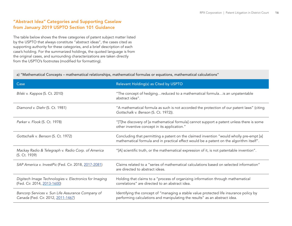# <span id="page-15-0"></span>"Abstract Idea" Categories and Supporting Caselaw from January 2019 USPTO Section 101 Guidance

The table below shows the three categories of patent subject matter listed by the USPTO that always constitute "abstract ideas", the cases cited as supporting authority for these categories, and a brief description of each case's holding. For the summarized holdings, the quoted language is from the original cases, and surrounding characterizations are taken directly from the USPTO's footnotes (modified for formatting).

#### a) "Mathematical Concepts – mathematical relationships, mathematical formulas or equations, mathematical calculations"

| Case                                                                                    | Relevant Holding(s) as Cited by USPTO                                                                                                                                               |
|-----------------------------------------------------------------------------------------|-------------------------------------------------------------------------------------------------------------------------------------------------------------------------------------|
| Bilski v. Kappos (S. Ct. 2010)                                                          | "The concept of hedgingreduced to a mathematical formulais an unpatentable<br>abstract idea".                                                                                       |
| Diamond v. Diehr (S. Ct. 1981)                                                          | "A mathematical formula as such is not accorded the protection of our patent laws" (citing<br>Gottschalk v. Benson (S. Ct. 1972)).                                                  |
| Parker v. Flook (S. Ct. 1978)                                                           | "[T]he discovery of [a mathematical formula] cannot support a patent unless there is some<br>other inventive concept in its application."                                           |
| Gottschalk v. Benson (S. Ct. 1972)                                                      | Concluding that permitting a patent on the claimed invention "would wholly pre-empt [a]<br>mathematical formula and in practical effect would be a patent on the algorithm itself". |
| Mackay Radio & Telegraph v. Radio Corp. of America<br>(S. Ct. 1939)                     | "[A] scientific truth, or the mathematical expression of it, is not patentable invention".                                                                                          |
| SAP America v. InvestPic (Fed. Cir. 2018, 2017-2081)                                    | Claims related to a "series of mathematical calculations based on selected information"<br>are directed to abstract ideas.                                                          |
| Digitech Image Technologies v. Electronics for Imaging<br>(Fed. Cir. 2014, 2013-1600)   | Holding that claims to a "process of organizing information through mathematical<br>correlations" are directed to an abstract idea.                                                 |
| Bancorp Services v. Sun Life Assurance Company of<br>Canada (Fed. Cir. 2012, 2011-1467) | Identifying the concept of "managing a stable value protected life insurance policy by<br>performing calculations and manipulating the results" as an abstract idea.                |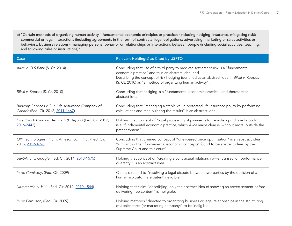b) "Certain methods of organizing human activity – fundamental economic principles or practices (including hedging, insurance, mitigating risk); commercial or legal interactions (including agreements in the form of contracts; legal obligations; advertising, marketing or sales activities or behaviors; business relations); managing personal behavior or relationships or interactions between people (including social activities, teaching, and following rules or instructions)"

| Case                                                                                    | Relevant Holding(s) as Cited by USPTO                                                                                                                                                                                                                                                            |
|-----------------------------------------------------------------------------------------|--------------------------------------------------------------------------------------------------------------------------------------------------------------------------------------------------------------------------------------------------------------------------------------------------|
| Alice v. CLS Bank (S. Ct. 2014)                                                         | Concluding that use of a third party to mediate settlement risk is a "fundamental<br>economic practice" and thus an abstract idea; and<br>Describing the concept of risk hedging identified as an abstract idea in Bilski v. Kappos<br>(S. Ct. 2010) as "a method of organizing human activity". |
| Bilski v. Kappos (S. Ct. 2010)                                                          | Concluding that hedging is a "fundamental economic practice" and therefore an<br>abstract idea.                                                                                                                                                                                                  |
| Bancorp Services v. Sun Life Assurance Company of<br>Canada (Fed. Cir. 2012, 2011-1467) | Concluding that "managing a stable value protected life insurance policy by performing<br>calculations and manipulating the results" is an abstract idea.                                                                                                                                        |
| Inventor Holdings v. Bed Bath & Beyond (Fed. Cir. 2017,<br>2016-2442)                   | Holding that concept of "local processing of payments for remotely purchased goods"<br>is a "fundamental economic practice, which Alice made clear is, without more, outside the<br>patent system".                                                                                              |
| OIP Technologies., Inc. v. Amazon.com, Inc., (Fed. Cir.<br>2015, 2012-1696)             | Concluding that claimed concept of "offer-based price optimization" is an abstract idea<br>"similar to other 'fundamental economic concepts' found to be abstract ideas by the<br>Supreme Court and this court".                                                                                 |
| buySAFE, v. Google (Fed. Cir. 2014, 2013-1575)                                          | Holding that concept of "creating a contractual relationship—a 'transaction performance<br>guaranty" is an abstract idea.                                                                                                                                                                        |
| In re: Comiskey, (Fed. Cir. 2009)                                                       | Claims directed to "resolving a legal dispute between two parties by the decision of a<br>human arbitrator" are patent ineligible.                                                                                                                                                               |
| Ultramercial v. Hulu (Fed. Cir. 2014, 2010-1544)                                        | Holding that claim "describ[ing] only the abstract idea of showing an advertisement before<br>delivering free content" is ineligible.                                                                                                                                                            |
| In re: Ferguson, (Fed. Cir. 2009)                                                       | Holding methods "directed to organizing business or legal relationships in the structuring<br>of a sales force (or marketing company)" to be ineligible.                                                                                                                                         |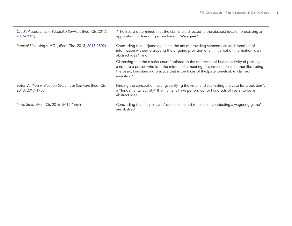| Credit Acceptance v. Westlake Services (Fed. Cir. 2017,<br>2016-2001)        | "The Board determined that the claims are directed to the abstract idea of 'processing an<br>application for financing a purchase.'We agree".                                                                                                                                                    |
|------------------------------------------------------------------------------|--------------------------------------------------------------------------------------------------------------------------------------------------------------------------------------------------------------------------------------------------------------------------------------------------|
| Interval Licensing v. AOL, (Fed. Circ. 2018, 2016-2502)                      | Concluding that "[s]tanding alone, the act of providing someone an additional set of<br>information without disrupting the ongoing provision of an initial set of information is an<br>abstract idea"; and                                                                                       |
|                                                                              | Observing that the district court "pointed to the nontechnical human activity of passing<br>a note to a person who is in the middle of a meeting or conversation as further illustrating<br>the basic, longstanding practice that is the focus of the [patent-ineligible] claimed<br>invention". |
| Voter Verified v. Election Systems & Software (Fed. Cir.<br>2018, 2017-1930) | Finding the concept of "voting, verifying the vote, and submitting the vote for tabulation",<br>a "fundamental activity" that humans have performed for hundreds of years, to be an<br>abstract idea.                                                                                            |
| In re: Smith (Fed. Cir. 2016, 2015-1664)                                     | Concluding that "[a]pplicants' claims, directed to rules for conducting a wagering game"<br>are abstract.                                                                                                                                                                                        |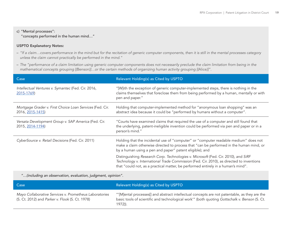#### c) "Mental processes":

"concepts performed in the human mind…"

#### USPTO Explanatory Notes:

- *"If a claim…covers performance in the mind but for the recitation of generic computer components, then it is still in the mental processes category unless the claim cannot practically be performed in the mind."*
- *The "performance of a claim limitation using generic computer components does not necessarily preclude the claim limitation from being in the mathematical concepts grouping [(*Benson*)]…or the certain methods of organizing human activity grouping [(*Alice*)]".*

| Case                                                                         | Relevant Holding(s) as Cited by USPTO                                                                                                                                                                                                                               |
|------------------------------------------------------------------------------|---------------------------------------------------------------------------------------------------------------------------------------------------------------------------------------------------------------------------------------------------------------------|
| Intellectual Ventures v. Symantec (Fed. Cir. 2016,<br>2015-1769)             | "[W]ith the exception of generic computer-implemented steps, there is nothing in the<br>claims themselves that foreclose them from being performed by a human, mentally or with<br>pen and paper."                                                                  |
| Mortgage Grader v. First Choice Loan Services (Fed. Cir.<br>2016, 2015-1415) | Holding that computer-implemented method for "anonymous loan shopping" was an<br>abstract idea because it could be "performed by humans without a computer".                                                                                                        |
| Versata Development Group v. SAP America (Fed. Cir.<br>2015, 2014-1194)      | "Courts have examined claims that required the use of a computer and still found that<br>the underlying, patent-ineligible invention could be performed via pen and paper or in a<br>person's mind."                                                                |
| CyberSource v. Retail Decisions (Fed. Cir. 2011)                             | Holding that the incidental use of "computer" or "computer readable medium" does not<br>make a claim otherwise directed to process that "can be performed in the human mind, or<br>by a human using a pen and paper" patent eligible); and                          |
|                                                                              | Distinguishing Research Corp. Technologies v. Microsoft (Fed. Cir. 2010), and SiRF<br>Technology v. International Trade Commission (Fed. Cir. 2010), as directed to inventions<br>that "could not, as a practical matter, be performed entirely in a human's mind". |

*"…(including an observation, evaluation, judgment, opinion".*

| Case                                                                                                      | Relevant Holding(s) as Cited by USPTO                                                                                                                                                                      |
|-----------------------------------------------------------------------------------------------------------|------------------------------------------------------------------------------------------------------------------------------------------------------------------------------------------------------------|
| Mayo Collaborative Services v. Prometheus Laboratories<br>(S. Ct. 2012) and Parker v. Flook (S. Ct. 1978) | "'[M]ental processes[] and abstract intellectual concepts are not patentable, as they are the<br>basic tools of scientific and technological work" (both quoting Gottschalk v. Benson (S. Ct.<br>$1972$ ). |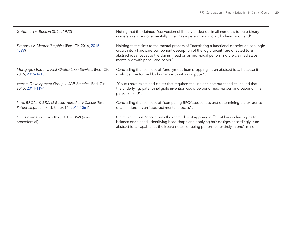| Gottschalk v. Benson (S. Ct. 1972)                                                                 | Noting that the claimed "conversion of [binary-coded decimal] numerals to pure binary<br>numerals can be done mentally"; i.e., "as a person would do it by head and hand".                                                                                                                                              |
|----------------------------------------------------------------------------------------------------|-------------------------------------------------------------------------------------------------------------------------------------------------------------------------------------------------------------------------------------------------------------------------------------------------------------------------|
| Synopsys v. Mentor Graphics (Fed. Cir. 2016, 2015-<br>1599)                                        | Holding that claims to the mental process of "translating a functional description of a logic<br>circuit into a hardware component description of the logic circuit" are directed to an<br>abstract idea, because the claims "read on an individual performing the claimed steps<br>mentally or with pencil and paper". |
| Mortgage Grader v. First Choice Loan Services (Fed. Cir.<br>2016, 2015-1415)                       | Concluding that concept of "anonymous loan shopping" is an abstract idea because it<br>could be "performed by humans without a computer".                                                                                                                                                                               |
| Versata Development Group v. SAP America (Fed. Cir.<br>2015, 2014-1194)                            | "Courts have examined claims that required the use of a computer and still found that<br>the underlying, patent-ineligible invention could be performed via pen and paper or in a<br>person's mind".                                                                                                                    |
| In re: BRCA1 & BRCA2-Based Hereditary Cancer Test<br>Patent Litigation (Fed. Cir. 2014, 2014-1361) | Concluding that concept of "comparing BRCA sequences and determining the existence<br>of alterations" is an "abstract mental process".                                                                                                                                                                                  |
| In re Brown (Fed. Cir. 2016, 2015-1852) (non-<br>precedential)                                     | Claim limitations "encompass the mere idea of applying different known hair styles to<br>balance one's head. Identifying head shape and applying hair designs accordingly is an<br>abstract idea capable, as the Board notes, of being performed entirely in one's mind".                                               |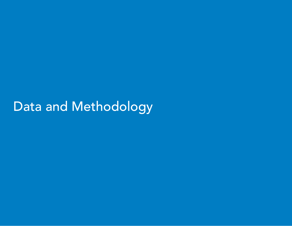Data and Methodology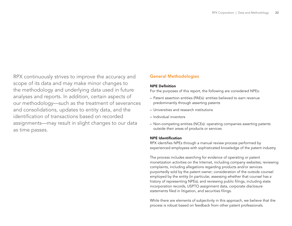RPX continuously strives to improve the accuracy and scope of its data and may make minor changes to the methodology and underlying data used in future analyses and reports. In addition, certain aspects of our methodology—such as the treatment of severances and consolidations, updates to entity data, and the identification of transactions based on recorded assignments—may result in slight changes to our data as time passes.

# General Methodologies

#### NPE Definition

For the purposes of this report, the following are considered NPEs:

- Patent assertion entities (PAEs): entities believed to earn revenue predominantly through asserting patents
- Universities and research institutions
- Individual inventors
- Non-competing entities (NCEs): operating companies asserting patents outside their areas of products or services

#### NPE Identification

RPX identifies NPEs through a manual review process performed by experienced employees with sophisticated knowledge of the patent industry.

The process includes searching for evidence of operating or patent monetization activities on the Internet, including company websites; reviewing complaints, including allegations regarding products and/or services purportedly sold by the patent owner; consideration of the outside counsel employed by the entity (in particular, assessing whether that counsel has a history of representing NPEs); and reviewing public filings, including state incorporation records, USPTO assignment data, corporate disclosure statements filed in litigation, and securities filings.

While there are elements of subjectivity in this approach, we believe that the process is robust based on feedback from other patent professionals.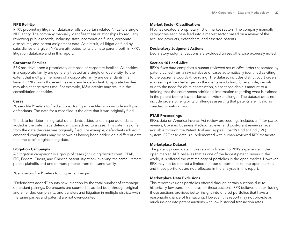#### NPE Roll-Up

RPX's proprietary litigation database rolls up certain related NPEs to a single NPE entity. The company manually identifies these relationships by regularly reviewing public records, including state incorporation filings, corporate disclosures, and patent assignment data. As a result, all litigation filed by subsidiaries of a given NPE are attributed to its ultimate parent, both in RPX's litigation database and in this report.

#### Corporate Families

RPX has developed a proprietary database of corporate families. All entities in a corporate family are generally treated as a single unique entity. To the extent that multiple members of a corporate family are defendants in a lawsuit, RPX counts those entities as a single defendant. Corporate families may also change over time. For example, M&A activity may result in the consolidation of entities.

#### Cases

"Cases filed" refers to filed actions. A single case filed may include multiple defendants. The date for a case filed is the date that it was originally filed.

The date for determining total defendants added and unique defendants added is the date that a defendant was added to a case. This date may differ from the date the case was originally filed. For example, defendants added in amended complaints may be shown as having been added on a different date than the case's original filing date.

#### Litigation Campaigns

A "litigation campaign" is a group of cases (including district court, PTAB, ITC, Federal Circuit, and Chinese patent litigation) involving the same ultimate parent plaintiffs and one or more patents from the same family.

"Campaigns filed" refers to unique campaigns.

"Defendants added" counts new litigation by the total number of campaigndefendant pairings. Defendants are counted as added both through original and amended complaints, and transfers and litigation in multiple districts (with the same parties and patents) are not over-counted.

#### Market Sector Classifications

RPX has created a proprietary list of market sectors. The company manually categorizes each case filed into a market sector based on a review of the accused products, defendants, and asserted patents.

#### Declaratory Judgment Actions

Declaratory judgment actions are excluded unless otherwise expressly noted.

#### Section 101 and *Alice*

RPX's *Alice* data comprises a human-reviewed set of *Alice* orders separated by patent, culled from a raw database of cases automatically identified as citing to the Supreme Court's *Alice* ruling. The dataset includes district court orders addressing *Alice* challenges on the merits (excluding, for example, denials due to the need for claim construction, since those denials amount to a holding that the court needs additional information regarding what is claimed in the patent before it can address an *Alice* challenge). The dataset does not include orders on eligibility challenges asserting that patents are invalid as directed to natural law.

#### PTAB Proceedings

RPX's data on America Invents Act review proceedings includes all *inter partes* reviews, Covered Business Method reviews, and post-grant reviews made available through the Patent Trial and Appeal Board's End to End (E2E) system. E2E case data is supplemented with human-reviewed RPX metadata.

#### Marketplace Dataset

The patent pricing data in this report is limited to RPX's experience in the open market. RPX believes that as one of the largest patent buyers in the world, it is offered the vast majority of portfolios in the open market. However, RPX may not be offered a limited number of portfolios on the open market, and those portfolios are not reflected in the analyses in this report.

#### Marketplace Data Exclusions

This report excludes portfolios offered through certain auctions due to historically low transaction rates for those auctions. RPX believes that excluding those auctions provides better insight into offered portfolios that have a reasonable chance of transacting. However, this report may not provide as much insight into patent auctions with low historical transaction rates.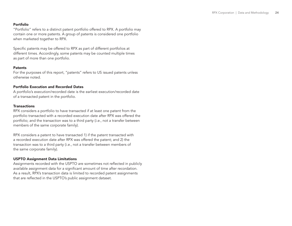#### Portfolio

"Portfolio" refers to a distinct patent portfolio offered to RPX. A portfolio may contain one or more patents. A group of patents is considered one portfolio when marketed together to RPX.

Specific patents may be offered to RPX as part of different portfolios at different times. Accordingly, some patents may be counted multiple times as part of more than one portfolio.

#### **Patents**

For the purposes of this report, "patents" refers to US issued patents unless otherwise noted.

#### Portfolio Execution and Recorded Dates

A portfolio's execution/recorded date is the earliest execution/recorded date of a transacted patent in the portfolio.

#### **Transactions**

RPX considers a portfolio to have transacted if at least one patent from the portfolio transacted with a recorded execution date after RPX was offered the portfolio; and the transaction was to a third party (*i.e.*, not a transfer between members of the same corporate family).

RPX considers a patent to have transacted 1) if the patent transacted with a recorded execution date after RPX was offered the patent; and 2) the transaction was to a third party (*i.e.*, not a transfer between members of the same corporate family).

#### USPTO Assignment Data Limitations

Assignments recorded with the USPTO are sometimes not reflected in publicly available assignment data for a significant amount of time after recordation. As a result, RPX's transaction data is limited to recorded patent assignments that are reflected in the USPTO's public assignment dataset.